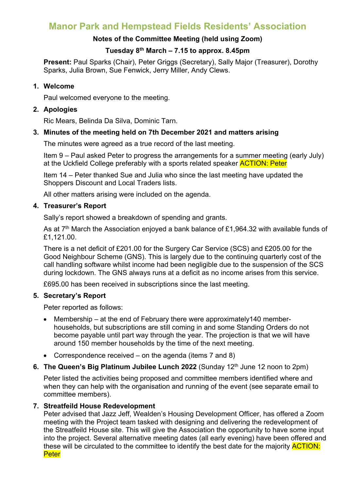# **Manor Park and Hempstead Fields Residents' Association**

## **Notes of the Committee Meeting (held using Zoom)**

# **Tuesday 8th March – 7.15 to approx. 8.45pm**

**Present:** Paul Sparks (Chair), Peter Griggs (Secretary), Sally Major (Treasurer), Dorothy Sparks, Julia Brown, Sue Fenwick, Jerry Miller, Andy Clews.

## **1. Welcome**

Paul welcomed everyone to the meeting.

## **2. Apologies**

Ric Mears, Belinda Da Silva, Dominic Tarn.

## **3. Minutes of the meeting held on 7th December 2021 and matters arising**

The minutes were agreed as a true record of the last meeting.

Item 9 – Paul asked Peter to progress the arrangements for a summer meeting (early July) at the Uckfield College preferably with a sports related speaker **ACTION: Peter** 

Item 14 – Peter thanked Sue and Julia who since the last meeting have updated the Shoppers Discount and Local Traders lists.

All other matters arising were included on the agenda.

# **4. Treasurer's Report**

Sally's report showed a breakdown of spending and grants.

As at  $7<sup>th</sup>$  March the Association enjoyed a bank balance of £1,964,32 with available funds of £1,121.00.

There is a net deficit of £201.00 for the Surgery Car Service (SCS) and £205.00 for the Good Neighbour Scheme (GNS). This is largely due to the continuing quarterly cost of the call handling software whilst income had been negligible due to the suspension of the SCS during lockdown. The GNS always runs at a deficit as no income arises from this service.

£695.00 has been received in subscriptions since the last meeting.

# **5. Secretary's Report**

Peter reported as follows:

- Membership at the end of February there were approximately 140 memberhouseholds, but subscriptions are still coming in and some Standing Orders do not become payable until part way through the year. The projection is that we will have around 150 member households by the time of the next meeting.
- Correspondence received on the agenda (items 7 and 8)

# **6. The Queen's Big Platinum Jubilee Lunch 2022** (Sunday 12<sup>th</sup> June 12 noon to 2pm)

Peter listed the activities being proposed and committee members identified where and when they can help with the organisation and running of the event (see separate email to committee members).

# **7. Streatfeild House Redevelopment**

Peter advised that Jazz Jeff, Wealden's Housing Development Officer, has offered a Zoom meeting with the Project team tasked with designing and delivering the redevelopment of the Streatfeild House site. This will give the Association the opportunity to have some input into the project. Several alternative meeting dates (all early evening) have been offered and these will be circulated to the committee to identify the best date for the majority **ACTION: Peter**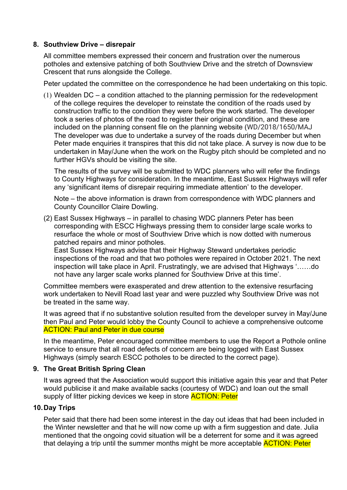## **8. Southview Drive – disrepair**

All committee members expressed their concern and frustration over the numerous potholes and extensive patching of both Southview Drive and the stretch of Downsview Crescent that runs alongside the College.

Peter updated the committee on the correspondence he had been undertaking on this topic.

(1) Wealden DC – a condition attached to the planning permission for the redevelopment of the college requires the developer to reinstate the condition of the roads used by construction traffic to the condition they were before the work started. The developer took a series of photos of the road to register their original condition, and these are included on the planning consent file on the planning website (WD/2018/1650/MAJ The developer was due to undertake a survey of the roads during December but when Peter made enquiries it transpires that this did not take place. A survey is now due to be undertaken in May/June when the work on the Rugby pitch should be completed and no further HGVs should be visiting the site.

The results of the survey will be submitted to WDC planners who will refer the findings to County Highways for consideration. In the meantime, East Sussex Highways will refer any 'significant items of disrepair requiring immediate attention' to the developer.

Note – the above information is drawn from correspondence with WDC planners and County Councillor Claire Dowling.

(2) East Sussex Highways – in parallel to chasing WDC planners Peter has been corresponding with ESCC Highways pressing them to consider large scale works to resurface the whole or most of Southview Drive which is now dotted with numerous patched repairs and minor potholes.

East Sussex Highways advise that their Highway Steward undertakes periodic inspections of the road and that two potholes were repaired in October 2021. The next inspection will take place in April. Frustratingly, we are advised that Highways '……do not have any larger scale works planned for Southview Drive at this time'.

Committee members were exasperated and drew attention to the extensive resurfacing work undertaken to Nevill Road last year and were puzzled why Southview Drive was not be treated in the same way.

It was agreed that if no substantive solution resulted from the developer survey in May/June then Paul and Peter would lobby the County Council to achieve a comprehensive outcome **ACTION: Paul and Peter in due course** 

In the meantime, Peter encouraged committee members to use the Report a Pothole online service to ensure that all road defects of concern are being logged with East Sussex Highways (simply search ESCC potholes to be directed to the correct page).

#### **9. The Great British Spring Clean**

It was agreed that the Association would support this initiative again this year and that Peter would publicise it and make available sacks (courtesy of WDC) and loan out the small supply of litter picking devices we keep in store **ACTION: Peter** 

#### **10.Day Trips**

Peter said that there had been some interest in the day out ideas that had been included in the Winter newsletter and that he will now come up with a firm suggestion and date. Julia mentioned that the ongoing covid situation will be a deterrent for some and it was agreed that delaying a trip until the summer months might be more acceptable **ACTION: Peter**